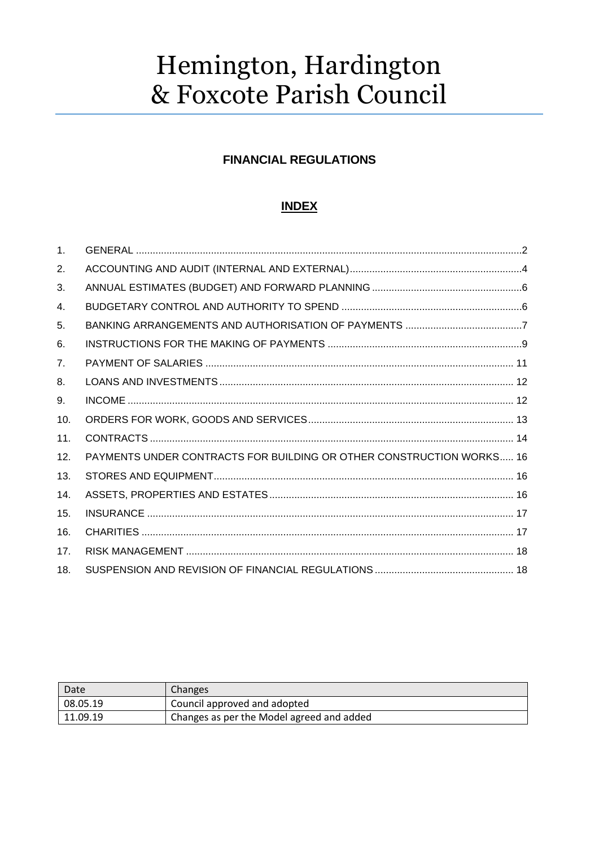# Hemington, Hardington & Foxcote Parish Council

### **FINANCIAL REGULATIONS**

## **INDEX**

| 1 <sub>1</sub> |                                                                      |
|----------------|----------------------------------------------------------------------|
| 2.             |                                                                      |
| 3.             |                                                                      |
| 4.             |                                                                      |
| 5.             |                                                                      |
| 6.             |                                                                      |
| 7 <sub>1</sub> |                                                                      |
| 8.             |                                                                      |
| 9.             |                                                                      |
| 10.            |                                                                      |
| 11.            |                                                                      |
| 12.            | PAYMENTS UNDER CONTRACTS FOR BUILDING OR OTHER CONSTRUCTION WORKS 16 |
| 13.            |                                                                      |
| 14.            |                                                                      |
| 15.            |                                                                      |
| 16.            |                                                                      |
| 17.            |                                                                      |
| 18.            |                                                                      |

| Date     | <b>Changes</b>                            |
|----------|-------------------------------------------|
| 08.05.19 | Council approved and adopted              |
| 11.09.19 | Changes as per the Model agreed and added |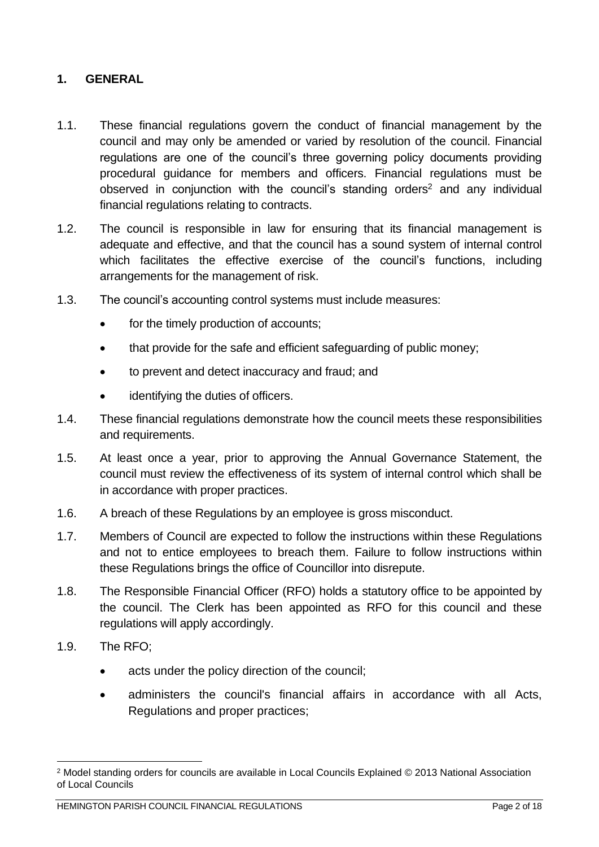#### <span id="page-1-0"></span>**1. GENERAL**

- 1.1. These financial regulations govern the conduct of financial management by the council and may only be amended or varied by resolution of the council. Financial regulations are one of the council's three governing policy documents providing procedural guidance for members and officers. Financial regulations must be observed in conjunction with the council's standing orders<sup>2</sup> and anv individual financial regulations relating to contracts.
- 1.2. The council is responsible in law for ensuring that its financial management is adequate and effective, and that the council has a sound system of internal control which facilitates the effective exercise of the council's functions, including arrangements for the management of risk.
- 1.3. The council's accounting control systems must include measures:
	- for the timely production of accounts;
	- that provide for the safe and efficient safeguarding of public money:
	- to prevent and detect inaccuracy and fraud; and
	- identifying the duties of officers.
- 1.4. These financial regulations demonstrate how the council meets these responsibilities and requirements.
- 1.5. At least once a year, prior to approving the Annual Governance Statement, the council must review the effectiveness of its system of internal control which shall be in accordance with proper practices.
- 1.6. A breach of these Regulations by an employee is gross misconduct.
- 1.7. Members of Council are expected to follow the instructions within these Regulations and not to entice employees to breach them. Failure to follow instructions within these Regulations brings the office of Councillor into disrepute.
- 1.8. The Responsible Financial Officer (RFO) holds a statutory office to be appointed by the council. The Clerk has been appointed as RFO for this council and these regulations will apply accordingly.
- 1.9. The RFO;
	- acts under the policy direction of the council;
	- administers the council's financial affairs in accordance with all Acts, Regulations and proper practices;

<sup>2</sup> Model standing orders for councils are available in Local Councils Explained © 2013 National Association of Local Councils

HEMINGTON PARISH COUNCIL FINANCIAL REGULATIONS **Page 2** of 18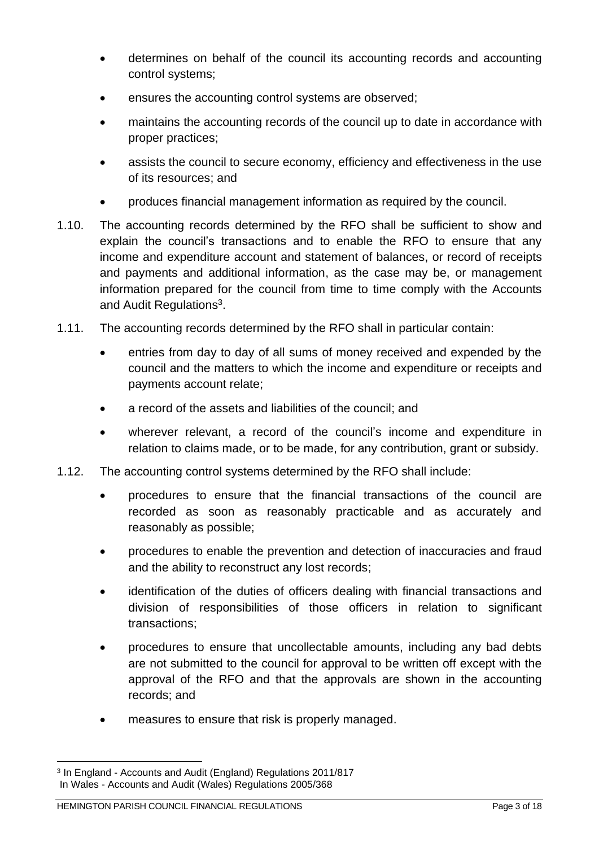- determines on behalf of the council its accounting records and accounting control systems;
- ensures the accounting control systems are observed:
- maintains the accounting records of the council up to date in accordance with proper practices;
- assists the council to secure economy, efficiency and effectiveness in the use of its resources; and
- produces financial management information as required by the council.
- 1.10. The accounting records determined by the RFO shall be sufficient to show and explain the council's transactions and to enable the RFO to ensure that any income and expenditure account and statement of balances, or record of receipts and payments and additional information, as the case may be, or management information prepared for the council from time to time comply with the Accounts and Audit Regulations<sup>3</sup>.
- 1.11. The accounting records determined by the RFO shall in particular contain:
	- entries from day to day of all sums of money received and expended by the council and the matters to which the income and expenditure or receipts and payments account relate;
	- a record of the assets and liabilities of the council; and
	- wherever relevant, a record of the council's income and expenditure in relation to claims made, or to be made, for any contribution, grant or subsidy.
- 1.12. The accounting control systems determined by the RFO shall include:
	- procedures to ensure that the financial transactions of the council are recorded as soon as reasonably practicable and as accurately and reasonably as possible;
	- procedures to enable the prevention and detection of inaccuracies and fraud and the ability to reconstruct any lost records;
	- identification of the duties of officers dealing with financial transactions and division of responsibilities of those officers in relation to significant transactions;
	- procedures to ensure that uncollectable amounts, including any bad debts are not submitted to the council for approval to be written off except with the approval of the RFO and that the approvals are shown in the accounting records; and
	- measures to ensure that risk is properly managed.

<sup>3</sup> In England - Accounts and Audit (England) Regulations 2011/817 In Wales - Accounts and Audit (Wales) Regulations 2005/368

HEMINGTON PARISH COUNCIL FINANCIAL REGULATIONS **Page 3** of 18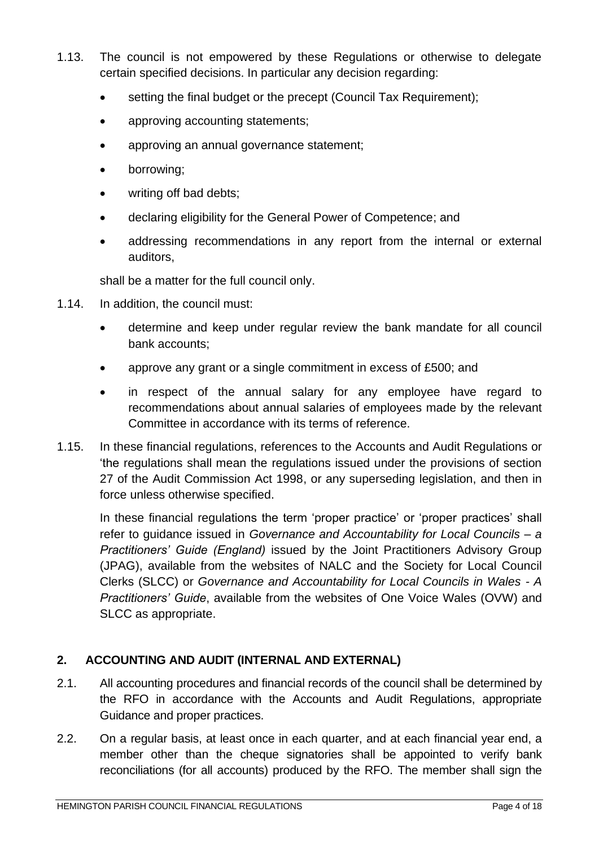- 1.13. The council is not empowered by these Regulations or otherwise to delegate certain specified decisions. In particular any decision regarding:
	- setting the final budget or the precept (Council Tax Requirement);
	- approving accounting statements;
	- approving an annual governance statement;
	- borrowing;
	- writing off bad debts;
	- declaring eligibility for the General Power of Competence; and
	- addressing recommendations in any report from the internal or external auditors,

shall be a matter for the full council only.

- 1.14. In addition, the council must:
	- determine and keep under regular review the bank mandate for all council bank accounts;
	- approve any grant or a single commitment in excess of £500; and
	- in respect of the annual salary for any employee have regard to recommendations about annual salaries of employees made by the relevant Committee in accordance with its terms of reference.
- 1.15. In these financial regulations, references to the Accounts and Audit Regulations or 'the regulations shall mean the regulations issued under the provisions of section 27 of the Audit Commission Act 1998, or any superseding legislation, and then in force unless otherwise specified.

In these financial regulations the term 'proper practice' or 'proper practices' shall refer to guidance issued in *Governance and Accountability for Local Councils – a Practitioners' Guide (England)* issued by the Joint Practitioners Advisory Group (JPAG), available from the websites of NALC and the Society for Local Council Clerks (SLCC) or *Governance and Accountability for Local Councils in Wales - A Practitioners' Guide*, available from the websites of One Voice Wales (OVW) and SLCC as appropriate.

## <span id="page-3-0"></span>**2. ACCOUNTING AND AUDIT (INTERNAL AND EXTERNAL)**

- 2.1. All accounting procedures and financial records of the council shall be determined by the RFO in accordance with the Accounts and Audit Regulations, appropriate Guidance and proper practices.
- 2.2. On a regular basis, at least once in each quarter, and at each financial year end, a member other than the cheque signatories shall be appointed to verify bank reconciliations (for all accounts) produced by the RFO. The member shall sign the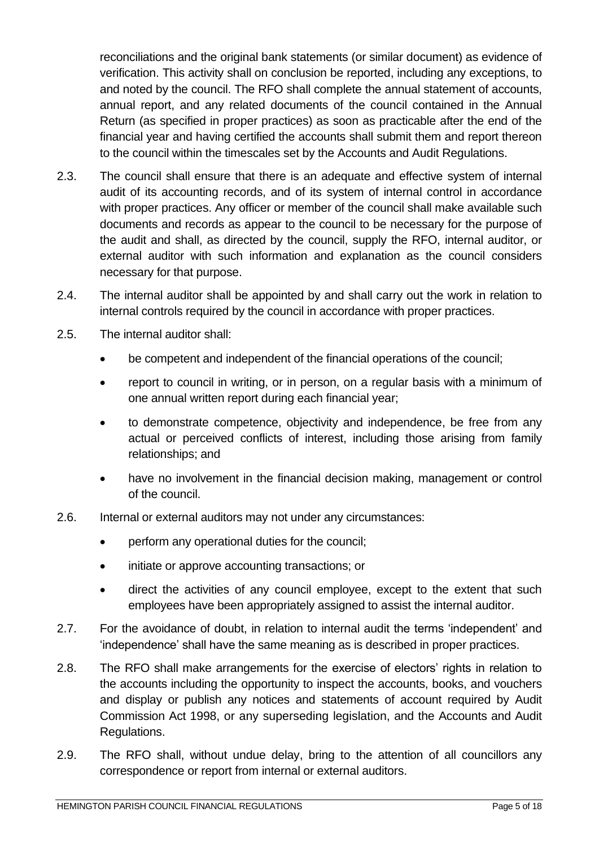reconciliations and the original bank statements (or similar document) as evidence of verification. This activity shall on conclusion be reported, including any exceptions, to and noted by the council. The RFO shall complete the annual statement of accounts, annual report, and any related documents of the council contained in the Annual Return (as specified in proper practices) as soon as practicable after the end of the financial year and having certified the accounts shall submit them and report thereon to the council within the timescales set by the Accounts and Audit Regulations.

- 2.3. The council shall ensure that there is an adequate and effective system of internal audit of its accounting records, and of its system of internal control in accordance with proper practices. Any officer or member of the council shall make available such documents and records as appear to the council to be necessary for the purpose of the audit and shall, as directed by the council, supply the RFO, internal auditor, or external auditor with such information and explanation as the council considers necessary for that purpose.
- 2.4. The internal auditor shall be appointed by and shall carry out the work in relation to internal controls required by the council in accordance with proper practices.
- 2.5. The internal auditor shall:
	- be competent and independent of the financial operations of the council;
	- report to council in writing, or in person, on a regular basis with a minimum of one annual written report during each financial year;
	- to demonstrate competence, objectivity and independence, be free from any actual or perceived conflicts of interest, including those arising from family relationships; and
	- have no involvement in the financial decision making, management or control of the council.
- 2.6. Internal or external auditors may not under any circumstances:
	- perform any operational duties for the council;
	- initiate or approve accounting transactions; or
	- direct the activities of any council employee, except to the extent that such employees have been appropriately assigned to assist the internal auditor.
- 2.7. For the avoidance of doubt, in relation to internal audit the terms 'independent' and 'independence' shall have the same meaning as is described in proper practices.
- 2.8. The RFO shall make arrangements for the exercise of electors' rights in relation to the accounts including the opportunity to inspect the accounts, books, and vouchers and display or publish any notices and statements of account required by Audit Commission Act 1998, or any superseding legislation, and the Accounts and Audit Regulations.
- 2.9. The RFO shall, without undue delay, bring to the attention of all councillors any correspondence or report from internal or external auditors.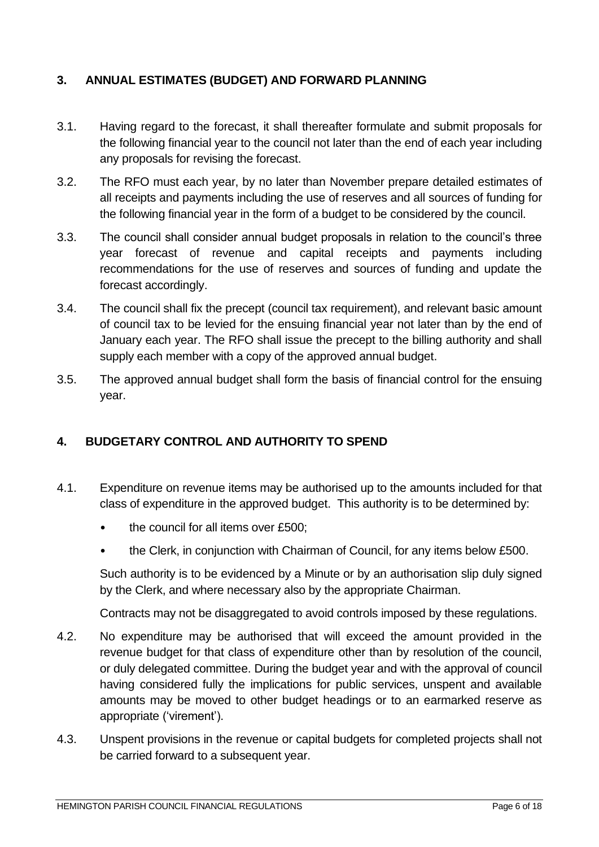#### <span id="page-5-0"></span>**3. ANNUAL ESTIMATES (BUDGET) AND FORWARD PLANNING**

- 3.1. Having regard to the forecast, it shall thereafter formulate and submit proposals for the following financial year to the council not later than the end of each year including any proposals for revising the forecast.
- 3.2. The RFO must each year, by no later than November prepare detailed estimates of all receipts and payments including the use of reserves and all sources of funding for the following financial year in the form of a budget to be considered by the council.
- 3.3. The council shall consider annual budget proposals in relation to the council's three year forecast of revenue and capital receipts and payments including recommendations for the use of reserves and sources of funding and update the forecast accordingly.
- 3.4. The council shall fix the precept (council tax requirement), and relevant basic amount of council tax to be levied for the ensuing financial year not later than by the end of January each year. The RFO shall issue the precept to the billing authority and shall supply each member with a copy of the approved annual budget.
- 3.5. The approved annual budget shall form the basis of financial control for the ensuing year.

#### <span id="page-5-1"></span>**4. BUDGETARY CONTROL AND AUTHORITY TO SPEND**

- 4.1. Expenditure on revenue items may be authorised up to the amounts included for that class of expenditure in the approved budget. This authority is to be determined by:
	- the council for all items over £500;
	- the Clerk, in conjunction with Chairman of Council, for any items below £500.

Such authority is to be evidenced by a Minute or by an authorisation slip duly signed by the Clerk, and where necessary also by the appropriate Chairman.

Contracts may not be disaggregated to avoid controls imposed by these regulations.

- 4.2. No expenditure may be authorised that will exceed the amount provided in the revenue budget for that class of expenditure other than by resolution of the council, or duly delegated committee. During the budget year and with the approval of council having considered fully the implications for public services, unspent and available amounts may be moved to other budget headings or to an earmarked reserve as appropriate ('virement').
- 4.3. Unspent provisions in the revenue or capital budgets for completed projects shall not be carried forward to a subsequent year.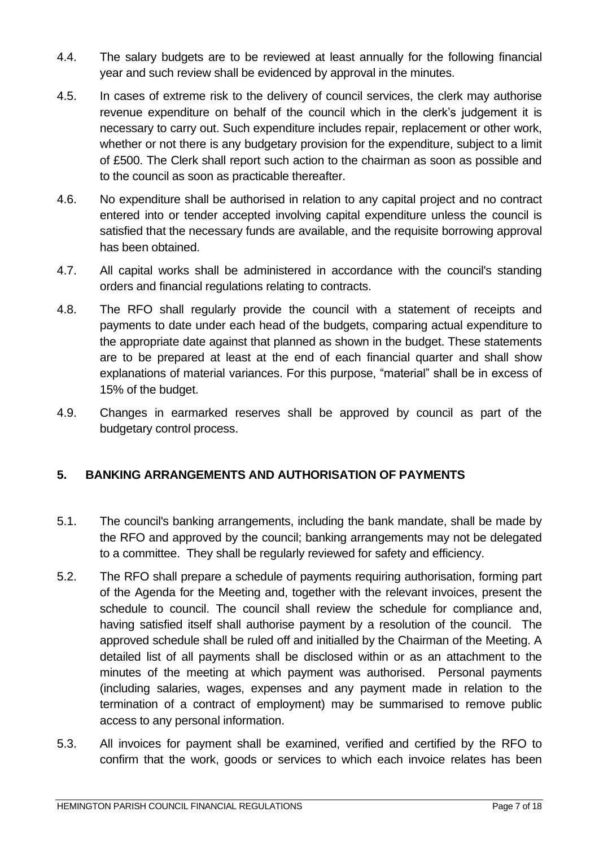- 4.4. The salary budgets are to be reviewed at least annually for the following financial year and such review shall be evidenced by approval in the minutes.
- 4.5. In cases of extreme risk to the delivery of council services, the clerk may authorise revenue expenditure on behalf of the council which in the clerk's judgement it is necessary to carry out. Such expenditure includes repair, replacement or other work, whether or not there is any budgetary provision for the expenditure, subject to a limit of £500. The Clerk shall report such action to the chairman as soon as possible and to the council as soon as practicable thereafter.
- 4.6. No expenditure shall be authorised in relation to any capital project and no contract entered into or tender accepted involving capital expenditure unless the council is satisfied that the necessary funds are available, and the requisite borrowing approval has been obtained.
- 4.7. All capital works shall be administered in accordance with the council's standing orders and financial regulations relating to contracts.
- 4.8. The RFO shall regularly provide the council with a statement of receipts and payments to date under each head of the budgets, comparing actual expenditure to the appropriate date against that planned as shown in the budget. These statements are to be prepared at least at the end of each financial quarter and shall show explanations of material variances. For this purpose, "material" shall be in excess of 15% of the budget.
- 4.9. Changes in earmarked reserves shall be approved by council as part of the budgetary control process.

## <span id="page-6-0"></span>**5. BANKING ARRANGEMENTS AND AUTHORISATION OF PAYMENTS**

- 5.1. The council's banking arrangements, including the bank mandate, shall be made by the RFO and approved by the council; banking arrangements may not be delegated to a committee. They shall be regularly reviewed for safety and efficiency.
- 5.2. The RFO shall prepare a schedule of payments requiring authorisation, forming part of the Agenda for the Meeting and, together with the relevant invoices, present the schedule to council. The council shall review the schedule for compliance and, having satisfied itself shall authorise payment by a resolution of the council. The approved schedule shall be ruled off and initialled by the Chairman of the Meeting. A detailed list of all payments shall be disclosed within or as an attachment to the minutes of the meeting at which payment was authorised. Personal payments (including salaries, wages, expenses and any payment made in relation to the termination of a contract of employment) may be summarised to remove public access to any personal information.
- 5.3. All invoices for payment shall be examined, verified and certified by the RFO to confirm that the work, goods or services to which each invoice relates has been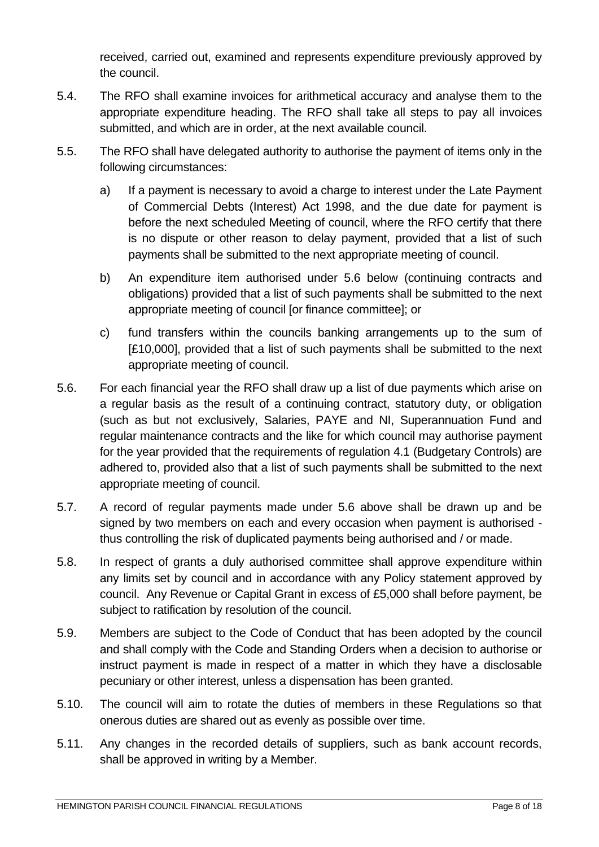received, carried out, examined and represents expenditure previously approved by the council.

- 5.4. The RFO shall examine invoices for arithmetical accuracy and analyse them to the appropriate expenditure heading. The RFO shall take all steps to pay all invoices submitted, and which are in order, at the next available council.
- 5.5. The RFO shall have delegated authority to authorise the payment of items only in the following circumstances:
	- a) If a payment is necessary to avoid a charge to interest under the Late Payment of Commercial Debts (Interest) Act 1998, and the due date for payment is before the next scheduled Meeting of council, where the RFO certify that there is no dispute or other reason to delay payment, provided that a list of such payments shall be submitted to the next appropriate meeting of council.
	- b) An expenditure item authorised under 5.6 below (continuing contracts and obligations) provided that a list of such payments shall be submitted to the next appropriate meeting of council [or finance committee]; or
	- c) fund transfers within the councils banking arrangements up to the sum of [£10,000], provided that a list of such payments shall be submitted to the next appropriate meeting of council.
- 5.6. For each financial year the RFO shall draw up a list of due payments which arise on a regular basis as the result of a continuing contract, statutory duty, or obligation (such as but not exclusively, Salaries, PAYE and NI, Superannuation Fund and regular maintenance contracts and the like for which council may authorise payment for the year provided that the requirements of regulation 4.1 (Budgetary Controls) are adhered to, provided also that a list of such payments shall be submitted to the next appropriate meeting of council.
- 5.7. A record of regular payments made under 5.6 above shall be drawn up and be signed by two members on each and every occasion when payment is authorised thus controlling the risk of duplicated payments being authorised and / or made.
- 5.8. In respect of grants a duly authorised committee shall approve expenditure within any limits set by council and in accordance with any Policy statement approved by council. Any Revenue or Capital Grant in excess of £5,000 shall before payment, be subject to ratification by resolution of the council.
- 5.9. Members are subject to the Code of Conduct that has been adopted by the council and shall comply with the Code and Standing Orders when a decision to authorise or instruct payment is made in respect of a matter in which they have a disclosable pecuniary or other interest, unless a dispensation has been granted.
- 5.10. The council will aim to rotate the duties of members in these Regulations so that onerous duties are shared out as evenly as possible over time.
- 5.11. Any changes in the recorded details of suppliers, such as bank account records, shall be approved in writing by a Member.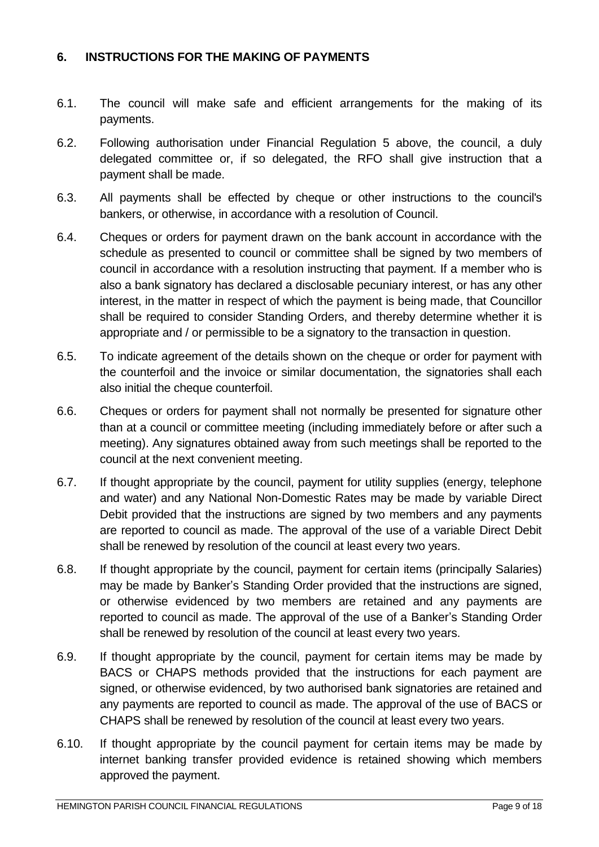#### <span id="page-8-0"></span>**6. INSTRUCTIONS FOR THE MAKING OF PAYMENTS**

- 6.1. The council will make safe and efficient arrangements for the making of its payments.
- 6.2. Following authorisation under Financial Regulation 5 above, the council, a duly delegated committee or, if so delegated, the RFO shall give instruction that a payment shall be made.
- 6.3. All payments shall be effected by cheque or other instructions to the council's bankers, or otherwise, in accordance with a resolution of Council.
- 6.4. Cheques or orders for payment drawn on the bank account in accordance with the schedule as presented to council or committee shall be signed by two members of council in accordance with a resolution instructing that payment. If a member who is also a bank signatory has declared a disclosable pecuniary interest, or has any other interest, in the matter in respect of which the payment is being made, that Councillor shall be required to consider Standing Orders, and thereby determine whether it is appropriate and / or permissible to be a signatory to the transaction in question.
- 6.5. To indicate agreement of the details shown on the cheque or order for payment with the counterfoil and the invoice or similar documentation, the signatories shall each also initial the cheque counterfoil.
- 6.6. Cheques or orders for payment shall not normally be presented for signature other than at a council or committee meeting (including immediately before or after such a meeting). Any signatures obtained away from such meetings shall be reported to the council at the next convenient meeting.
- 6.7. If thought appropriate by the council, payment for utility supplies (energy, telephone and water) and any National Non-Domestic Rates may be made by variable Direct Debit provided that the instructions are signed by two members and any payments are reported to council as made. The approval of the use of a variable Direct Debit shall be renewed by resolution of the council at least every two years.
- 6.8. If thought appropriate by the council, payment for certain items (principally Salaries) may be made by Banker's Standing Order provided that the instructions are signed, or otherwise evidenced by two members are retained and any payments are reported to council as made. The approval of the use of a Banker's Standing Order shall be renewed by resolution of the council at least every two years.
- 6.9. If thought appropriate by the council, payment for certain items may be made by BACS or CHAPS methods provided that the instructions for each payment are signed, or otherwise evidenced, by two authorised bank signatories are retained and any payments are reported to council as made. The approval of the use of BACS or CHAPS shall be renewed by resolution of the council at least every two years.
- 6.10. If thought appropriate by the council payment for certain items may be made by internet banking transfer provided evidence is retained showing which members approved the payment.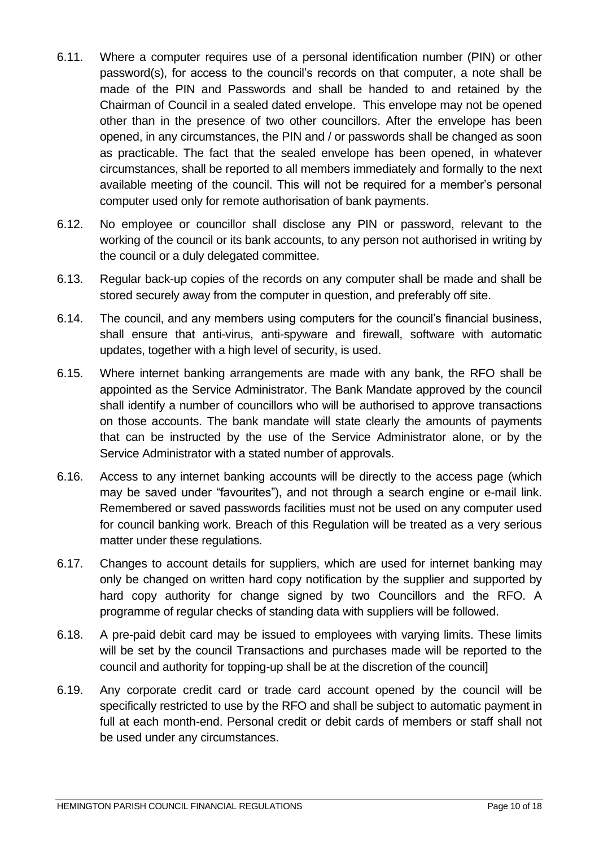- 6.11. Where a computer requires use of a personal identification number (PIN) or other password(s), for access to the council's records on that computer, a note shall be made of the PIN and Passwords and shall be handed to and retained by the Chairman of Council in a sealed dated envelope. This envelope may not be opened other than in the presence of two other councillors. After the envelope has been opened, in any circumstances, the PIN and / or passwords shall be changed as soon as practicable. The fact that the sealed envelope has been opened, in whatever circumstances, shall be reported to all members immediately and formally to the next available meeting of the council. This will not be required for a member's personal computer used only for remote authorisation of bank payments.
- 6.12. No employee or councillor shall disclose any PIN or password, relevant to the working of the council or its bank accounts, to any person not authorised in writing by the council or a duly delegated committee.
- 6.13. Regular back-up copies of the records on any computer shall be made and shall be stored securely away from the computer in question, and preferably off site.
- 6.14. The council, and any members using computers for the council's financial business, shall ensure that anti-virus, anti-spyware and firewall, software with automatic updates, together with a high level of security, is used.
- 6.15. Where internet banking arrangements are made with any bank, the RFO shall be appointed as the Service Administrator. The Bank Mandate approved by the council shall identify a number of councillors who will be authorised to approve transactions on those accounts. The bank mandate will state clearly the amounts of payments that can be instructed by the use of the Service Administrator alone, or by the Service Administrator with a stated number of approvals.
- 6.16. Access to any internet banking accounts will be directly to the access page (which may be saved under "favourites"), and not through a search engine or e-mail link. Remembered or saved passwords facilities must not be used on any computer used for council banking work. Breach of this Regulation will be treated as a very serious matter under these regulations.
- 6.17. Changes to account details for suppliers, which are used for internet banking may only be changed on written hard copy notification by the supplier and supported by hard copy authority for change signed by two Councillors and the RFO. A programme of regular checks of standing data with suppliers will be followed.
- 6.18. A pre-paid debit card may be issued to employees with varying limits. These limits will be set by the council Transactions and purchases made will be reported to the council and authority for topping-up shall be at the discretion of the council]
- 6.19. Any corporate credit card or trade card account opened by the council will be specifically restricted to use by the RFO and shall be subject to automatic payment in full at each month-end. Personal credit or debit cards of members or staff shall not be used under any circumstances.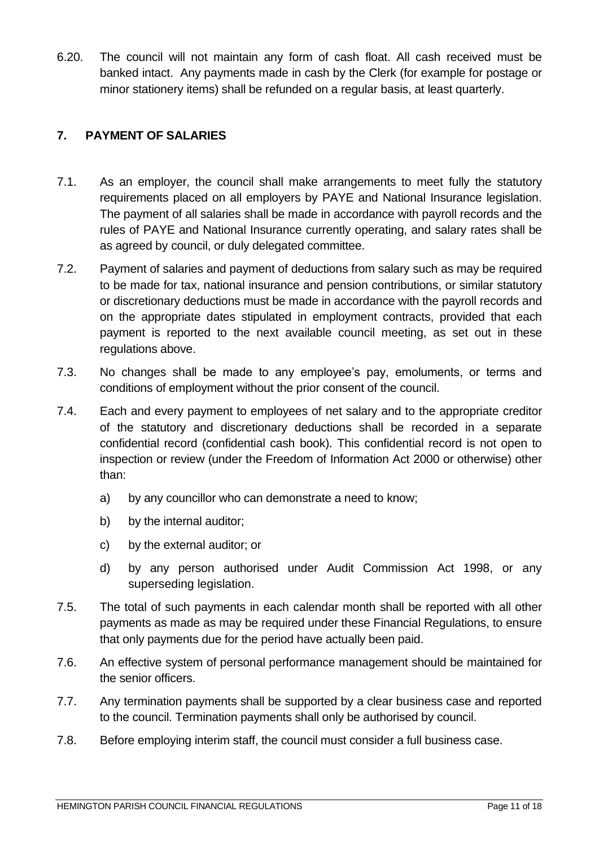6.20. The council will not maintain any form of cash float. All cash received must be banked intact. Any payments made in cash by the Clerk (for example for postage or minor stationery items) shall be refunded on a regular basis, at least quarterly.

## <span id="page-10-0"></span>**7. PAYMENT OF SALARIES**

- 7.1. As an employer, the council shall make arrangements to meet fully the statutory requirements placed on all employers by PAYE and National Insurance legislation. The payment of all salaries shall be made in accordance with payroll records and the rules of PAYE and National Insurance currently operating, and salary rates shall be as agreed by council, or duly delegated committee.
- 7.2. Payment of salaries and payment of deductions from salary such as may be required to be made for tax, national insurance and pension contributions, or similar statutory or discretionary deductions must be made in accordance with the payroll records and on the appropriate dates stipulated in employment contracts, provided that each payment is reported to the next available council meeting, as set out in these regulations above.
- 7.3. No changes shall be made to any employee's pay, emoluments, or terms and conditions of employment without the prior consent of the council.
- 7.4. Each and every payment to employees of net salary and to the appropriate creditor of the statutory and discretionary deductions shall be recorded in a separate confidential record (confidential cash book). This confidential record is not open to inspection or review (under the Freedom of Information Act 2000 or otherwise) other than:
	- a) by any councillor who can demonstrate a need to know;
	- b) by the internal auditor;
	- c) by the external auditor; or
	- d) by any person authorised under Audit Commission Act 1998, or any superseding legislation.
- 7.5. The total of such payments in each calendar month shall be reported with all other payments as made as may be required under these Financial Regulations, to ensure that only payments due for the period have actually been paid.
- 7.6. An effective system of personal performance management should be maintained for the senior officers.
- 7.7. Any termination payments shall be supported by a clear business case and reported to the council. Termination payments shall only be authorised by council.
- 7.8. Before employing interim staff, the council must consider a full business case.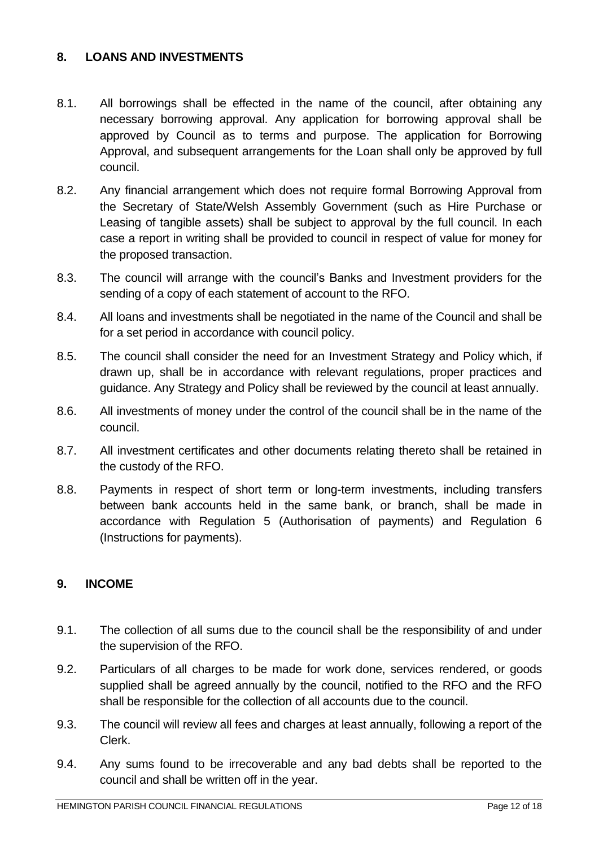#### <span id="page-11-0"></span>**8. LOANS AND INVESTMENTS**

- 8.1. All borrowings shall be effected in the name of the council, after obtaining any necessary borrowing approval. Any application for borrowing approval shall be approved by Council as to terms and purpose. The application for Borrowing Approval, and subsequent arrangements for the Loan shall only be approved by full council.
- 8.2. Any financial arrangement which does not require formal Borrowing Approval from the Secretary of State/Welsh Assembly Government (such as Hire Purchase or Leasing of tangible assets) shall be subject to approval by the full council. In each case a report in writing shall be provided to council in respect of value for money for the proposed transaction.
- 8.3. The council will arrange with the council's Banks and Investment providers for the sending of a copy of each statement of account to the RFO.
- 8.4. All loans and investments shall be negotiated in the name of the Council and shall be for a set period in accordance with council policy.
- 8.5. The council shall consider the need for an Investment Strategy and Policy which, if drawn up, shall be in accordance with relevant regulations, proper practices and guidance. Any Strategy and Policy shall be reviewed by the council at least annually.
- 8.6. All investments of money under the control of the council shall be in the name of the council.
- 8.7. All investment certificates and other documents relating thereto shall be retained in the custody of the RFO.
- 8.8. Payments in respect of short term or long-term investments, including transfers between bank accounts held in the same bank, or branch, shall be made in accordance with Regulation 5 (Authorisation of payments) and Regulation 6 (Instructions for payments).

#### <span id="page-11-1"></span>**9. INCOME**

- 9.1. The collection of all sums due to the council shall be the responsibility of and under the supervision of the RFO.
- 9.2. Particulars of all charges to be made for work done, services rendered, or goods supplied shall be agreed annually by the council, notified to the RFO and the RFO shall be responsible for the collection of all accounts due to the council.
- 9.3. The council will review all fees and charges at least annually, following a report of the Clerk.
- 9.4. Any sums found to be irrecoverable and any bad debts shall be reported to the council and shall be written off in the year.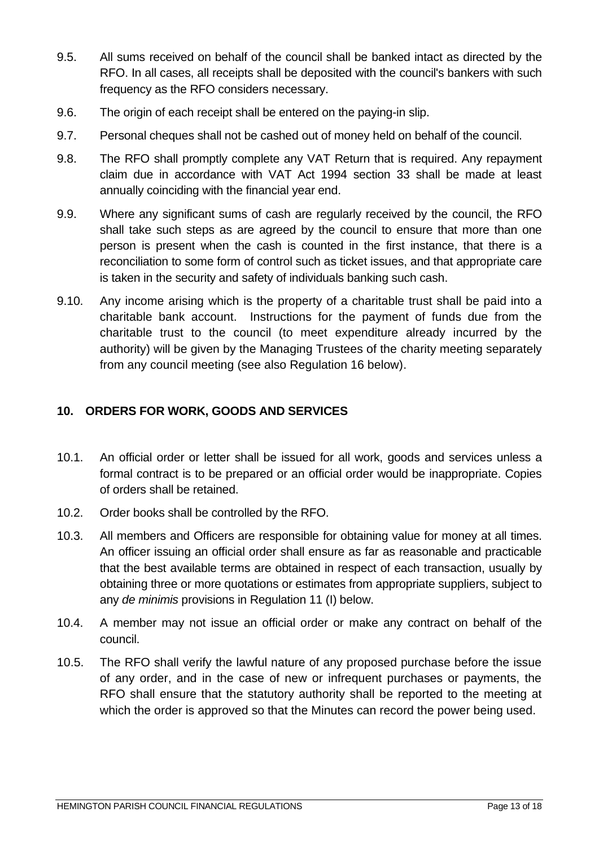- 9.5. All sums received on behalf of the council shall be banked intact as directed by the RFO. In all cases, all receipts shall be deposited with the council's bankers with such frequency as the RFO considers necessary.
- 9.6. The origin of each receipt shall be entered on the paying-in slip.
- 9.7. Personal cheques shall not be cashed out of money held on behalf of the council.
- 9.8. The RFO shall promptly complete any VAT Return that is required. Any repayment claim due in accordance with VAT Act 1994 section 33 shall be made at least annually coinciding with the financial year end.
- 9.9. Where any significant sums of cash are regularly received by the council, the RFO shall take such steps as are agreed by the council to ensure that more than one person is present when the cash is counted in the first instance, that there is a reconciliation to some form of control such as ticket issues, and that appropriate care is taken in the security and safety of individuals banking such cash.
- 9.10. Any income arising which is the property of a charitable trust shall be paid into a charitable bank account. Instructions for the payment of funds due from the charitable trust to the council (to meet expenditure already incurred by the authority) will be given by the Managing Trustees of the charity meeting separately from any council meeting (see also Regulation 16 below).

#### <span id="page-12-0"></span>**10. ORDERS FOR WORK, GOODS AND SERVICES**

- 10.1. An official order or letter shall be issued for all work, goods and services unless a formal contract is to be prepared or an official order would be inappropriate. Copies of orders shall be retained.
- 10.2. Order books shall be controlled by the RFO.
- 10.3. All members and Officers are responsible for obtaining value for money at all times. An officer issuing an official order shall ensure as far as reasonable and practicable that the best available terms are obtained in respect of each transaction, usually by obtaining three or more quotations or estimates from appropriate suppliers, subject to any *de minimis* provisions in Regulation 11 (I) below.
- 10.4. A member may not issue an official order or make any contract on behalf of the council.
- 10.5. The RFO shall verify the lawful nature of any proposed purchase before the issue of any order, and in the case of new or infrequent purchases or payments, the RFO shall ensure that the statutory authority shall be reported to the meeting at which the order is approved so that the Minutes can record the power being used.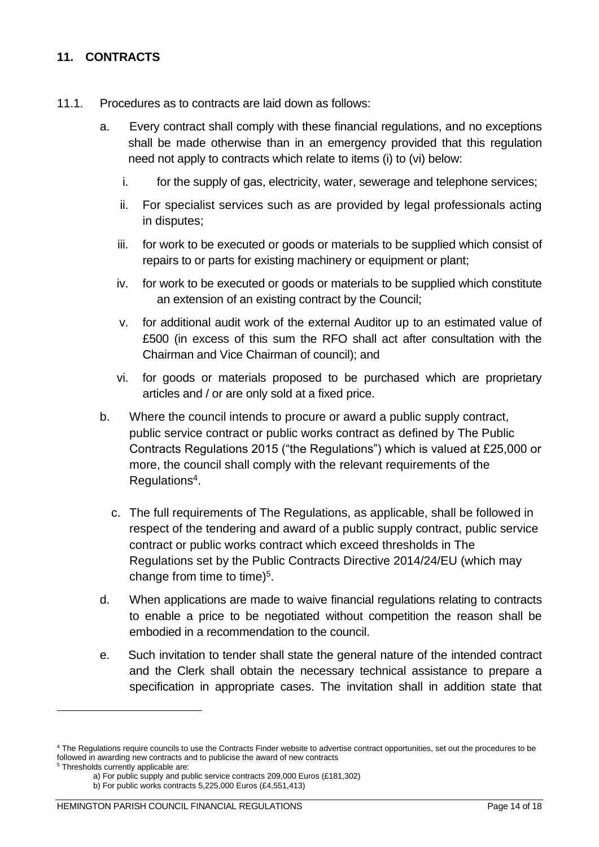#### <span id="page-13-0"></span>**11. CONTRACTS**

- 11.1. Procedures as to contracts are laid down as follows:
	- a. Every contract shall comply with these financial regulations, and no exceptions shall be made otherwise than in an emergency provided that this regulation need not apply to contracts which relate to items (i) to (vi) below:
		- i. for the supply of gas, electricity, water, sewerage and telephone services;
		- ii. For specialist services such as are provided by legal professionals acting in disputes;
		- iii. for work to be executed or goods or materials to be supplied which consist of repairs to or parts for existing machinery or equipment or plant;
		- iv. for work to be executed or goods or materials to be supplied which constitute an extension of an existing contract by the Council;
		- v. for additional audit work of the external Auditor up to an estimated value of £500 (in excess of this sum the RFO shall act after consultation with the Chairman and Vice Chairman of council); and
		- vi. for goods or materials proposed to be purchased which are proprietary articles and / or are only sold at a fixed price.
	- b. Where the council intends to procure or award a public supply contract, public service contract or public works contract as defined by The Public Contracts Regulations 2015 ("the Regulations") which is valued at £25,000 or more, the council shall comply with the relevant requirements of the Regulations<sup>4</sup> .
		- c. The full requirements of The Regulations, as applicable, shall be followed in respect of the tendering and award of a public supply contract, public service contract or public works contract which exceed thresholds in The Regulations set by the Public Contracts Directive 2014/24/EU (which may change from time to time) $5$ .
	- d. When applications are made to waive financial regulations relating to contracts to enable a price to be negotiated without competition the reason shall be embodied in a recommendation to the council.
	- e. Such invitation to tender shall state the general nature of the intended contract and the Clerk shall obtain the necessary technical assistance to prepare a specification in appropriate cases. The invitation shall in addition state that

<sup>5</sup> Thresholds currently applicable are:

<sup>4</sup> The Regulations require councils to use the Contracts Finder website to advertise contract opportunities, set out the procedures to be followed in awarding new contracts and to publicise the award of new contracts

a) For public supply and public service contracts 209,000 Euros (£181,302)

b) For public works contracts 5,225,000 Euros (£4,551,413)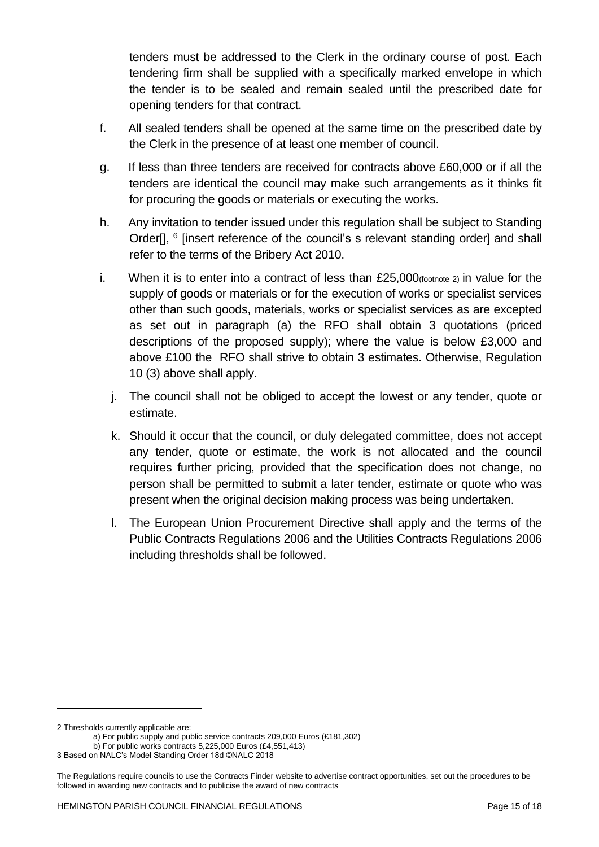tenders must be addressed to the Clerk in the ordinary course of post. Each tendering firm shall be supplied with a specifically marked envelope in which the tender is to be sealed and remain sealed until the prescribed date for opening tenders for that contract.

- f. All sealed tenders shall be opened at the same time on the prescribed date by the Clerk in the presence of at least one member of council.
- g. If less than three tenders are received for contracts above £60,000 or if all the tenders are identical the council may make such arrangements as it thinks fit for procuring the goods or materials or executing the works.
- h. Any invitation to tender issued under this regulation shall be subject to Standing Order[], <sup>6</sup> [insert reference of the council's s relevant standing order] and shall refer to the terms of the Bribery Act 2010.
- i. When it is to enter into a contract of less than  $£25,000$  (footnote 2) in value for the supply of goods or materials or for the execution of works or specialist services other than such goods, materials, works or specialist services as are excepted as set out in paragraph (a) the RFO shall obtain 3 quotations (priced descriptions of the proposed supply); where the value is below £3,000 and above £100 the RFO shall strive to obtain 3 estimates. Otherwise, Regulation 10 (3) above shall apply.
	- j. The council shall not be obliged to accept the lowest or any tender, quote or estimate.
	- k. Should it occur that the council, or duly delegated committee, does not accept any tender, quote or estimate, the work is not allocated and the council requires further pricing, provided that the specification does not change, no person shall be permitted to submit a later tender, estimate or quote who was present when the original decision making process was being undertaken.
	- l. The European Union Procurement Directive shall apply and the terms of the Public Contracts Regulations 2006 and the Utilities Contracts Regulations 2006 including thresholds shall be followed.

<sup>2</sup> Thresholds currently applicable are:

a) For public supply and public service contracts 209,000 Euros (£181,302)

b) For public works contracts 5,225,000 Euros (£4,551,413)

<sup>3</sup> Based on NALC's Model Standing Order 18d ©NALC 2018

The Regulations require councils to use the Contracts Finder website to advertise contract opportunities, set out the procedures to be followed in awarding new contracts and to publicise the award of new contracts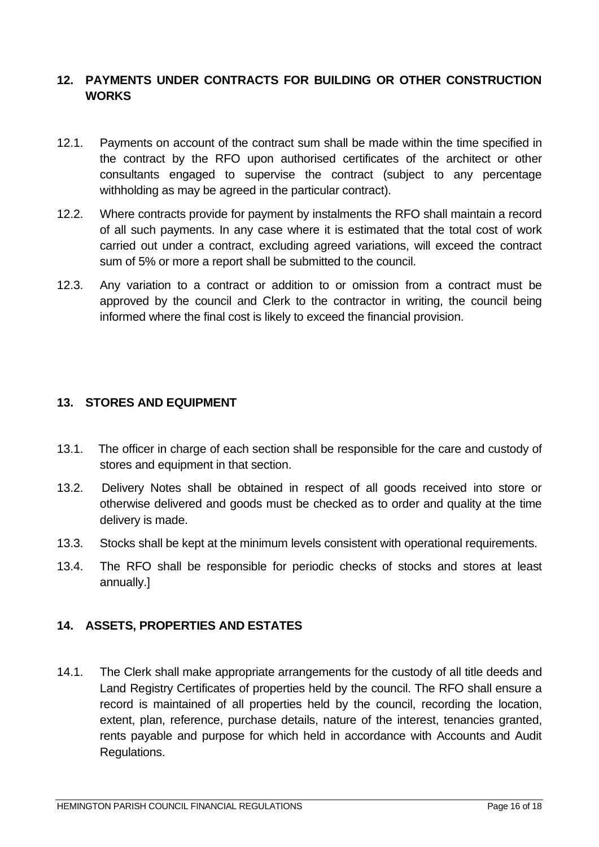#### <span id="page-15-0"></span>**12. PAYMENTS UNDER CONTRACTS FOR BUILDING OR OTHER CONSTRUCTION WORKS**

- 12.1. Payments on account of the contract sum shall be made within the time specified in the contract by the RFO upon authorised certificates of the architect or other consultants engaged to supervise the contract (subject to any percentage withholding as may be agreed in the particular contract).
- 12.2. Where contracts provide for payment by instalments the RFO shall maintain a record of all such payments. In any case where it is estimated that the total cost of work carried out under a contract, excluding agreed variations, will exceed the contract sum of 5% or more a report shall be submitted to the council.
- 12.3. Any variation to a contract or addition to or omission from a contract must be approved by the council and Clerk to the contractor in writing, the council being informed where the final cost is likely to exceed the financial provision.

#### <span id="page-15-1"></span>**13. STORES AND EQUIPMENT**

- 13.1. The officer in charge of each section shall be responsible for the care and custody of stores and equipment in that section.
- 13.2. Delivery Notes shall be obtained in respect of all goods received into store or otherwise delivered and goods must be checked as to order and quality at the time delivery is made.
- 13.3. Stocks shall be kept at the minimum levels consistent with operational requirements.
- 13.4. The RFO shall be responsible for periodic checks of stocks and stores at least annually.]

#### <span id="page-15-2"></span>**14. ASSETS, PROPERTIES AND ESTATES**

14.1. The Clerk shall make appropriate arrangements for the custody of all title deeds and Land Registry Certificates of properties held by the council. The RFO shall ensure a record is maintained of all properties held by the council, recording the location, extent, plan, reference, purchase details, nature of the interest, tenancies granted, rents payable and purpose for which held in accordance with Accounts and Audit Regulations.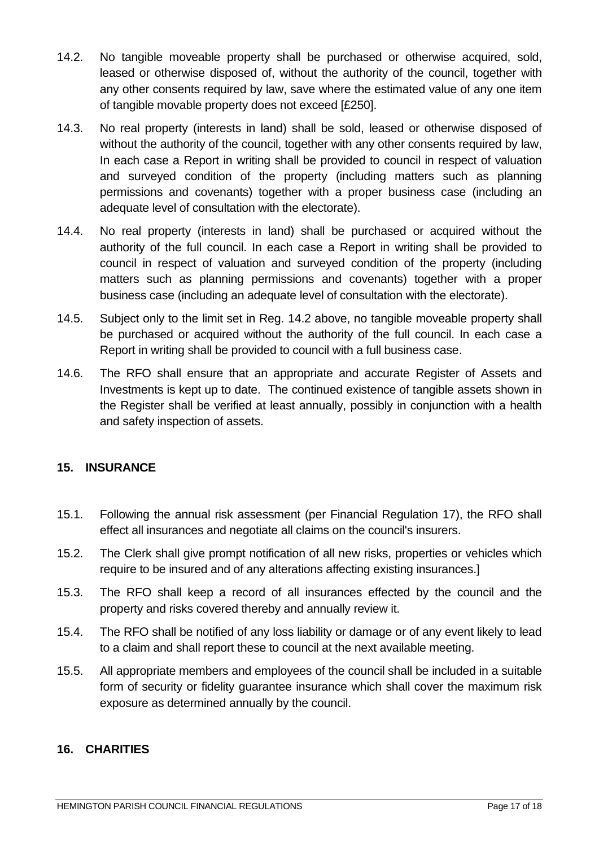- 14.2. No tangible moveable property shall be purchased or otherwise acquired, sold, leased or otherwise disposed of, without the authority of the council, together with any other consents required by law, save where the estimated value of any one item of tangible movable property does not exceed [£250].
- 14.3. No real property (interests in land) shall be sold, leased or otherwise disposed of without the authority of the council, together with any other consents required by law, In each case a Report in writing shall be provided to council in respect of valuation and surveyed condition of the property (including matters such as planning permissions and covenants) together with a proper business case (including an adequate level of consultation with the electorate).
- 14.4. No real property (interests in land) shall be purchased or acquired without the authority of the full council. In each case a Report in writing shall be provided to council in respect of valuation and surveyed condition of the property (including matters such as planning permissions and covenants) together with a proper business case (including an adequate level of consultation with the electorate).
- 14.5. Subject only to the limit set in Reg. 14.2 above, no tangible moveable property shall be purchased or acquired without the authority of the full council. In each case a Report in writing shall be provided to council with a full business case.
- 14.6. The RFO shall ensure that an appropriate and accurate Register of Assets and Investments is kept up to date. The continued existence of tangible assets shown in the Register shall be verified at least annually, possibly in conjunction with a health and safety inspection of assets.

#### <span id="page-16-0"></span>**15. INSURANCE**

- 15.1. Following the annual risk assessment (per Financial Regulation 17), the RFO shall effect all insurances and negotiate all claims on the council's insurers.
- 15.2. The Clerk shall give prompt notification of all new risks, properties or vehicles which require to be insured and of any alterations affecting existing insurances.]
- 15.3. The RFO shall keep a record of all insurances effected by the council and the property and risks covered thereby and annually review it.
- 15.4. The RFO shall be notified of any loss liability or damage or of any event likely to lead to a claim and shall report these to council at the next available meeting.
- 15.5. All appropriate members and employees of the council shall be included in a suitable form of security or fidelity guarantee insurance which shall cover the maximum risk exposure as determined annually by the council.

#### <span id="page-16-1"></span>**16. CHARITIES**